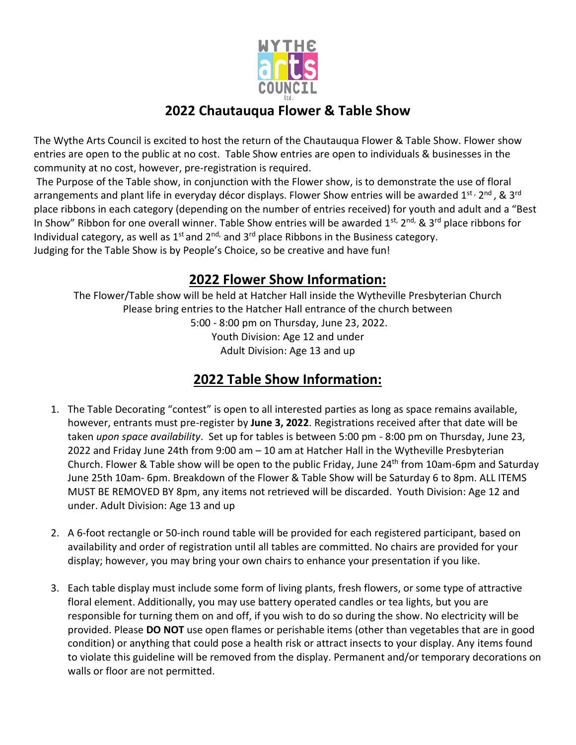

# **2022 Chautauqua Flower & Table Show**

The Wythe Arts Council is excited to host the return of the Chautauqua Flower & Table Show. Flower show entries are open to the public at no cost. Table Show entries are open to individuals & businesses in the community at no cost, however, pre-registration is required.

The Purpose of the Table show, in conjunction with the Flower show, is to demonstrate the use of floral arrangements and plant life in everyday décor displays. Flower Show entries will be awarded 1<sup>st,</sup> 2<sup>nd</sup>, & 3<sup>rd</sup> place ribbons in each category (depending on the number of entries received) for youth and adult and a "Best In Show" Ribbon for one overall winner. Table Show entries will be awarded 1st, 2nd, & 3rd place ribbons for Individual category, as well as  $1^{st}$  and  $2^{nd}$ , and  $3^{rd}$  place Ribbons in the Business category. Judging for the Table Show is by People's Choice, so be creative and have fun!

## **2022 Flower Show Information:**

The Flower/Table show will be held at Hatcher Hall inside the Wytheville Presbyterian Church Please bring entries to the Hatcher Hall entrance of the church between

5:00 - 8:00 pm on Thursday, June 23, 2022. Youth Division: Age 12 and under Adult Division: Age 13 and up

# **2022 Table Show Information:**

- 1. The Table Decorating "contest" is open to all interested parties as long as space remains available, however, entrants must pre-register by **June 3, 2022**. Registrations received after that date will be taken *upon space availability*. Set up for tables is between 5:00 pm - 8:00 pm on Thursday, June 23, 2022 and Friday June 24th from 9:00 am – 10 am at Hatcher Hall in the Wytheville Presbyterian Church. Flower & Table show will be open to the public Friday, June  $24<sup>th</sup>$  from 10am-6pm and Saturday June 25th 10am- 6pm. Breakdown of the Flower & Table Show will be Saturday 6 to 8pm. ALL ITEMS MUST BE REMOVED BY 8pm, any items not retrieved will be discarded. Youth Division: Age 12 and under. Adult Division: Age 13 and up
- 2. A 6-foot rectangle or 50-inch round table will be provided for each registered participant, based on availability and order of registration until all tables are committed. No chairs are provided for your display; however, you may bring your own chairs to enhance your presentation if you like.
- 3. Each table display must include some form of living plants, fresh flowers, or some type of attractive floral element. Additionally, you may use battery operated candles or tea lights, but you are responsible for turning them on and off, if you wish to do so during the show. No electricity will be provided. Please **DO NOT** use open flames or perishable items (other than vegetables that are in good condition) or anything that could pose a health risk or attract insects to your display. Any items found to violate this guideline will be removed from the display. Permanent and/or temporary decorations on walls or floor are not permitted.